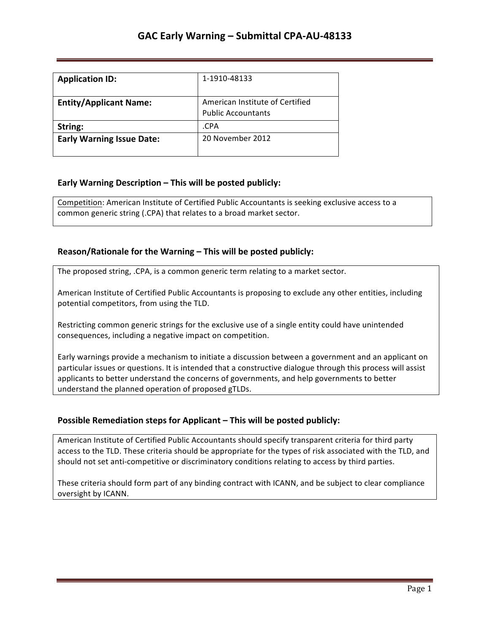| <b>Application ID:</b>           | 1-1910-48133                                                 |
|----------------------------------|--------------------------------------------------------------|
| <b>Entity/Applicant Name:</b>    | American Institute of Certified<br><b>Public Accountants</b> |
| String:                          | .CPA                                                         |
| <b>Early Warning Issue Date:</b> | 20 November 2012                                             |

## **Early Warning Description – This will be posted publicly:**

Competition: American Institute of Certified Public Accountants is seeking exclusive access to a common generic string (.CPA) that relates to a broad market sector.

## **Reason/Rationale for the Warning – This will be posted publicly:**

The proposed string, .CPA, is a common generic term relating to a market sector.

American Institute of Certified Public Accountants is proposing to exclude any other entities, including potential competitors, from using the TLD.

Restricting common generic strings for the exclusive use of a single entity could have unintended consequences, including a negative impact on competition.

Early warnings provide a mechanism to initiate a discussion between a government and an applicant on particular issues or questions. It is intended that a constructive dialogue through this process will assist applicants to better understand the concerns of governments, and help governments to better understand the planned operation of proposed gTLDs.

## **Possible Remediation steps for Applicant – This will be posted publicly:**

American Institute of Certified Public Accountants should specify transparent criteria for third party access to the TLD. These criteria should be appropriate for the types of risk associated with the TLD, and should not set anti-competitive or discriminatory conditions relating to access by third parties.

These criteria should form part of any binding contract with ICANN, and be subject to clear compliance oversight by ICANN.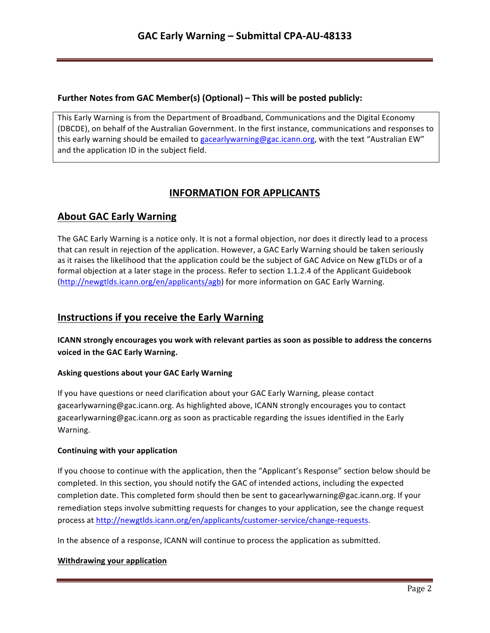## **Further Notes from GAC Member(s) (Optional) – This will be posted publicly:**

This Early Warning is from the Department of Broadband, Communications and the Digital Economy (DBCDE), on behalf of the Australian Government. In the first instance, communications and responses to this early warning should be emailed to gacearlywarning@gac.icann.org, with the text "Australian EW" and the application ID in the subject field.

# **INFORMATION FOR APPLICANTS**

# **About GAC Early Warning**

The GAC Early Warning is a notice only. It is not a formal objection, nor does it directly lead to a process that can result in rejection of the application. However, a GAC Early Warning should be taken seriously as it raises the likelihood that the application could be the subject of GAC Advice on New gTLDs or of a formal objection at a later stage in the process. Refer to section 1.1.2.4 of the Applicant Guidebook (http://newgtlds.icann.org/en/applicants/agb) for more information on GAC Early Warning.

## **Instructions if you receive the Early Warning**

**ICANN** strongly encourages you work with relevant parties as soon as possible to address the concerns voiced in the GAC Early Warning.

## **Asking questions about your GAC Early Warning**

If you have questions or need clarification about your GAC Early Warning, please contact gacearlywarning@gac.icann.org. As highlighted above, ICANN strongly encourages you to contact gacearlywarning@gac.icann.org as soon as practicable regarding the issues identified in the Early Warning. 

#### **Continuing with your application**

If you choose to continue with the application, then the "Applicant's Response" section below should be completed. In this section, you should notify the GAC of intended actions, including the expected completion date. This completed form should then be sent to gacearlywarning@gac.icann.org. If your remediation steps involve submitting requests for changes to your application, see the change request process at http://newgtlds.icann.org/en/applicants/customer-service/change-requests.

In the absence of a response, ICANN will continue to process the application as submitted.

#### **Withdrawing your application**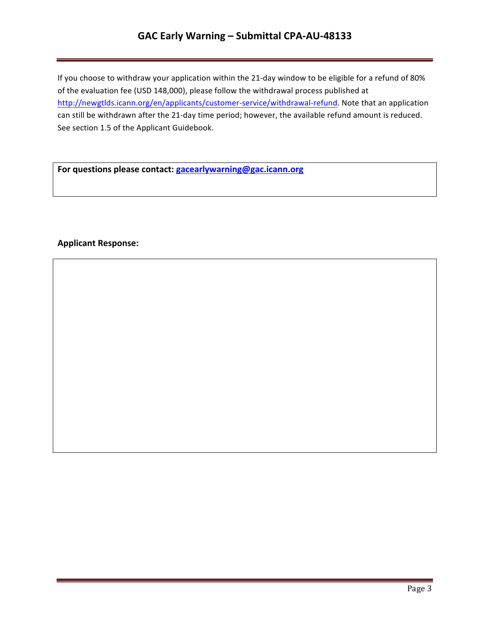## **GAC Early Warning – Submittal CPA-AU-48133**

If you choose to withdraw your application within the 21-day window to be eligible for a refund of 80% of the evaluation fee (USD 148,000), please follow the withdrawal process published at http://newgtlds.icann.org/en/applicants/customer-service/withdrawal-refund. Note that an application can still be withdrawn after the 21-day time period; however, the available refund amount is reduced. See section 1.5 of the Applicant Guidebook.

For questions please contact: **gacearlywarning@gac.icann.org** 

### **Applicant Response:**